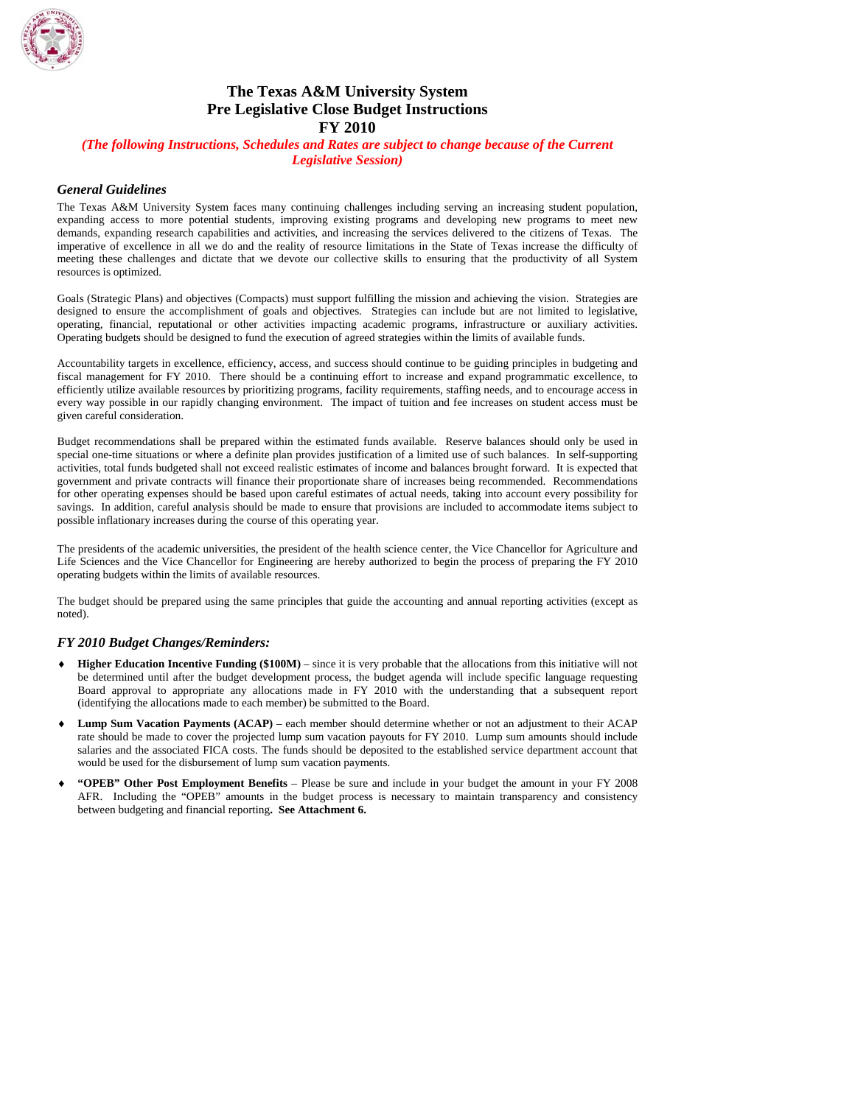

# **The Texas A&M University System Pre Legislative Close Budget Instructions FY 2010**

### *(The following Instructions, Schedules and Rates are subject to change because of the Current Legislative Session)*

### *General Guidelines*

The Texas A&M University System faces many continuing challenges including serving an increasing student population, expanding access to more potential students, improving existing programs and developing new programs to meet new demands, expanding research capabilities and activities, and increasing the services delivered to the citizens of Texas. The imperative of excellence in all we do and the reality of resource limitations in the State of Texas increase the difficulty of meeting these challenges and dictate that we devote our collective skills to ensuring that the productivity of all System resources is optimized.

Goals (Strategic Plans) and objectives (Compacts) must support fulfilling the mission and achieving the vision. Strategies are designed to ensure the accomplishment of goals and objectives. Strategies can include but are not limited to legislative, operating, financial, reputational or other activities impacting academic programs, infrastructure or auxiliary activities. Operating budgets should be designed to fund the execution of agreed strategies within the limits of available funds.

Accountability targets in excellence, efficiency, access, and success should continue to be guiding principles in budgeting and fiscal management for FY 2010. There should be a continuing effort to increase and expand programmatic excellence, to efficiently utilize available resources by prioritizing programs, facility requirements, staffing needs, and to encourage access in every way possible in our rapidly changing environment. The impact of tuition and fee increases on student access must be given careful consideration.

Budget recommendations shall be prepared within the estimated funds available. Reserve balances should only be used in special one-time situations or where a definite plan provides justification of a limited use of such balances. In self-supporting activities, total funds budgeted shall not exceed realistic estimates of income and balances brought forward. It is expected that government and private contracts will finance their proportionate share of increases being recommended. Recommendations for other operating expenses should be based upon careful estimates of actual needs, taking into account every possibility for savings. In addition, careful analysis should be made to ensure that provisions are included to accommodate items subject to possible inflationary increases during the course of this operating year.

The presidents of the academic universities, the president of the health science center, the Vice Chancellor for Agriculture and Life Sciences and the Vice Chancellor for Engineering are hereby authorized to begin the process of preparing the FY 2010 operating budgets within the limits of available resources.

The budget should be prepared using the same principles that guide the accounting and annual reporting activities (except as noted).

#### *FY 2010 Budget Changes/Reminders:*

- **Higher Education Incentive Funding (\$100M)** since it is very probable that the allocations from this initiative will not be determined until after the budget development process, the budget agenda will include specific language requesting Board approval to appropriate any allocations made in FY 2010 with the understanding that a subsequent report (identifying the allocations made to each member) be submitted to the Board.
- **Lump Sum Vacation Payments (ACAP)** each member should determine whether or not an adjustment to their ACAP rate should be made to cover the projected lump sum vacation payouts for FY 2010. Lump sum amounts should include salaries and the associated FICA costs. The funds should be deposited to the established service department account that would be used for the disbursement of lump sum vacation payments.
- ♦ **"OPEB" Other Post Employment Benefits**  Please be sure and include in your budget the amount in your FY 2008 AFR. Including the "OPEB" amounts in the budget process is necessary to maintain transparency and consistency between budgeting and financial reporting**. See Attachment 6.**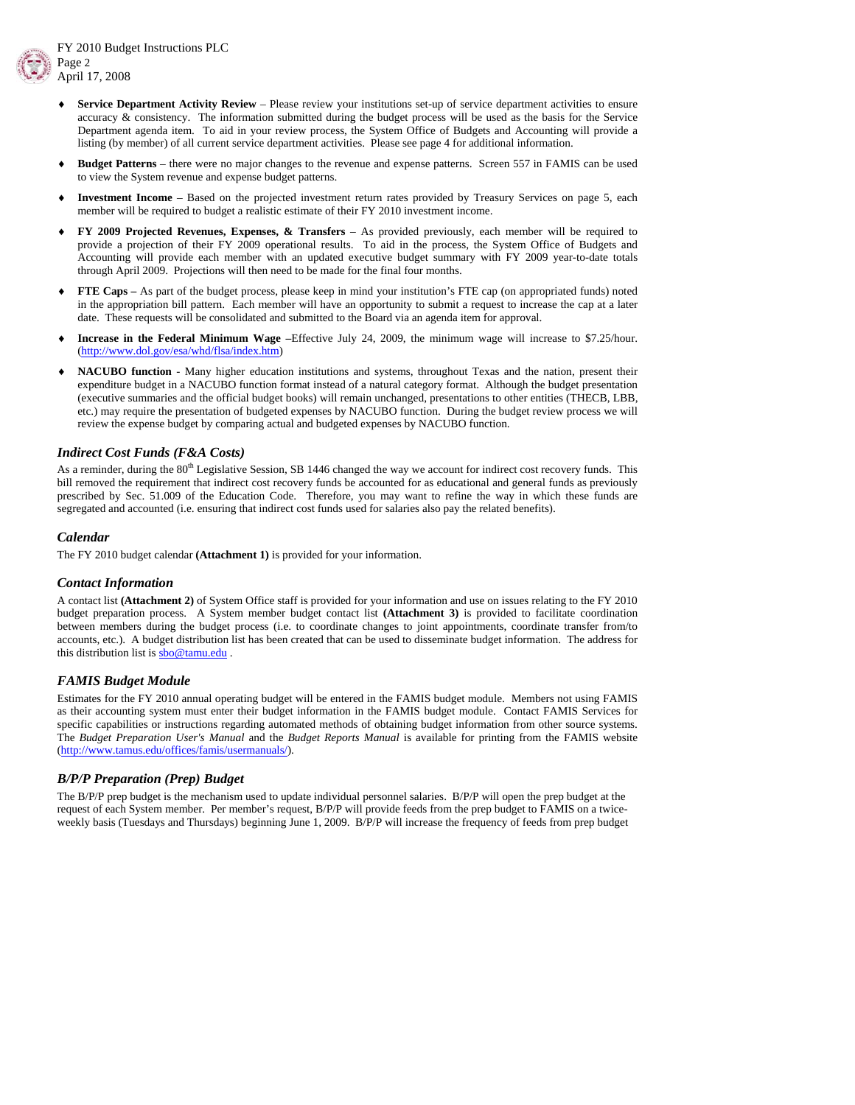

- **Service Department Activity Review Please review your institutions set-up of service department activities to ensure** accuracy & consistency. The information submitted during the budget process will be used as the basis for the Service Department agenda item. To aid in your review process, the System Office of Budgets and Accounting will provide a listing (by member) of all current service department activities. Please see page 4 for additional information.
- **Budget Patterns** there were no major changes to the revenue and expense patterns. Screen 557 in FAMIS can be used to view the System revenue and expense budget patterns.
- Investment Income Based on the projected investment return rates provided by Treasury Services on page 5, each member will be required to budget a realistic estimate of their FY 2010 investment income.
- ♦ **FY 2009 Projected Revenues, Expenses, & Transfers** As provided previously, each member will be required to provide a projection of their FY 2009 operational results. To aid in the process, the System Office of Budgets and Accounting will provide each member with an updated executive budget summary with FY 2009 year-to-date totals through April 2009. Projections will then need to be made for the final four months.
- **FTE Caps –** As part of the budget process, please keep in mind your institution's FTE cap (on appropriated funds) noted in the appropriation bill pattern. Each member will have an opportunity to submit a request to increase the cap at a later date. These requests will be consolidated and submitted to the Board via an agenda item for approval.
- Increase in the Federal Minimum Wage –Effective July 24, 2009, the minimum wage will increase to \$7.25/hour. (http://www.dol.gov/esa/whd/flsa/index.htm)
- **NACUBO function** Many higher education institutions and systems, throughout Texas and the nation, present their expenditure budget in a NACUBO function format instead of a natural category format. Although the budget presentation (executive summaries and the official budget books) will remain unchanged, presentations to other entities (THECB, LBB, etc.) may require the presentation of budgeted expenses by NACUBO function. During the budget review process we will review the expense budget by comparing actual and budgeted expenses by NACUBO function.

#### *Indirect Cost Funds (F&A Costs)*

As a reminder, during the  $80<sup>th</sup>$  Legislative Session, SB 1446 changed the way we account for indirect cost recovery funds. This bill removed the requirement that indirect cost recovery funds be accounted for as educational and general funds as previously prescribed by Sec. 51.009 of the Education Code. Therefore, you may want to refine the way in which these funds are segregated and accounted (i.e. ensuring that indirect cost funds used for salaries also pay the related benefits).

### *Calendar*

The FY 2010 budget calendar **(Attachment 1)** is provided for your information.

#### *Contact Information*

A contact list **(Attachment 2)** of System Office staff is provided for your information and use on issues relating to the FY 2010 budget preparation process. A System member budget contact list **(Attachment 3)** is provided to facilitate coordination between members during the budget process (i.e. to coordinate changes to joint appointments, coordinate transfer from/to accounts, etc.). A budget distribution list has been created that can be used to disseminate budget information. The address for this distribution list is sbo@tamu.edu .

#### *FAMIS Budget Module*

Estimates for the FY 2010 annual operating budget will be entered in the FAMIS budget module. Members not using FAMIS as their accounting system must enter their budget information in the FAMIS budget module. Contact FAMIS Services for specific capabilities or instructions regarding automated methods of obtaining budget information from other source systems. The *Budget Preparation User's Manual* and the *Budget Reports Manual* is available for printing from the FAMIS website (http://www.tamus.edu/offices/famis/usermanuals/).

### *B/P/P Preparation (Prep) Budget*

The B/P/P prep budget is the mechanism used to update individual personnel salaries. B/P/P will open the prep budget at the request of each System member. Per member's request, B/P/P will provide feeds from the prep budget to FAMIS on a twiceweekly basis (Tuesdays and Thursdays) beginning June 1, 2009. B/P/P will increase the frequency of feeds from prep budget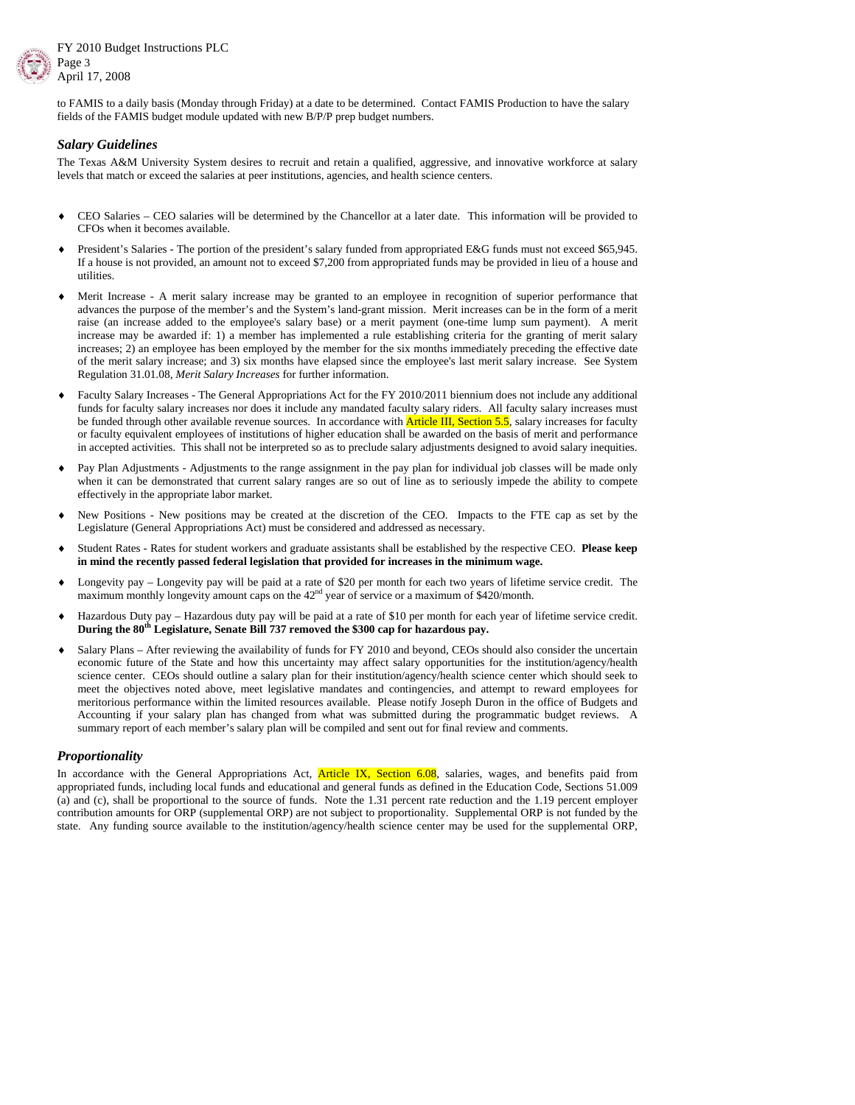

to FAMIS to a daily basis (Monday through Friday) at a date to be determined. Contact FAMIS Production to have the salary fields of the FAMIS budget module updated with new B/P/P prep budget numbers.

### *Salary Guidelines*

The Texas A&M University System desires to recruit and retain a qualified, aggressive, and innovative workforce at salary levels that match or exceed the salaries at peer institutions, agencies, and health science centers.

- CEO Salaries CEO salaries will be determined by the Chancellor at a later date. This information will be provided to CFOs when it becomes available.
- President's Salaries The portion of the president's salary funded from appropriated E&G funds must not exceed \$65,945. If a house is not provided, an amount not to exceed \$7,200 from appropriated funds may be provided in lieu of a house and utilities.
- Merit Increase A merit salary increase may be granted to an employee in recognition of superior performance that advances the purpose of the member's and the System's land-grant mission. Merit increases can be in the form of a merit raise (an increase added to the employee's salary base) or a merit payment (one-time lump sum payment). A merit increase may be awarded if: 1) a member has implemented a rule establishing criteria for the granting of merit salary increases; 2) an employee has been employed by the member for the six months immediately preceding the effective date of the merit salary increase; and 3) six months have elapsed since the employee's last merit salary increase. See System Regulation 31.01.08, *Merit Salary Increases* for further information.
- Faculty Salary Increases The General Appropriations Act for the FY 2010/2011 biennium does not include any additional funds for faculty salary increases nor does it include any mandated faculty salary riders. All faculty salary increases must be funded through other available revenue sources. In accordance with **Article III, Section 5.5**, salary increases for faculty or faculty equivalent employees of institutions of higher education shall be awarded on the basis of merit and performance in accepted activities. This shall not be interpreted so as to preclude salary adjustments designed to avoid salary inequities.
- Pay Plan Adjustments Adjustments to the range assignment in the pay plan for individual job classes will be made only when it can be demonstrated that current salary ranges are so out of line as to seriously impede the ability to compete effectively in the appropriate labor market.
- New Positions New positions may be created at the discretion of the CEO. Impacts to the FTE cap as set by the Legislature (General Appropriations Act) must be considered and addressed as necessary.
- ♦ Student Rates Rates for student workers and graduate assistants shall be established by the respective CEO. **Please keep in mind the recently passed federal legislation that provided for increases in the minimum wage.**
- Longevity pay Longevity pay will be paid at a rate of \$20 per month for each two years of lifetime service credit. The maximum monthly longevity amount caps on the 42<sup>nd</sup> year of service or a maximum of \$420/month.
- Hazardous Duty pay Hazardous duty pay will be paid at a rate of \$10 per month for each year of lifetime service credit. **During the 80th Legislature, Senate Bill 737 removed the \$300 cap for hazardous pay.**
- Salary Plans After reviewing the availability of funds for FY 2010 and beyond, CEOs should also consider the uncertain economic future of the State and how this uncertainty may affect salary opportunities for the institution/agency/health science center. CEOs should outline a salary plan for their institution/agency/health science center which should seek to meet the objectives noted above, meet legislative mandates and contingencies, and attempt to reward employees for meritorious performance within the limited resources available. Please notify Joseph Duron in the office of Budgets and Accounting if your salary plan has changed from what was submitted during the programmatic budget reviews. A summary report of each member's salary plan will be compiled and sent out for final review and comments.

#### *Proportionality*

In accordance with the General Appropriations Act, **Article IX, Section 6.08**, salaries, wages, and benefits paid from appropriated funds, including local funds and educational and general funds as defined in the Education Code, Sections 51.009 (a) and (c), shall be proportional to the source of funds. Note the 1.31 percent rate reduction and the 1.19 percent employer contribution amounts for ORP (supplemental ORP) are not subject to proportionality. Supplemental ORP is not funded by the state. Any funding source available to the institution/agency/health science center may be used for the supplemental ORP,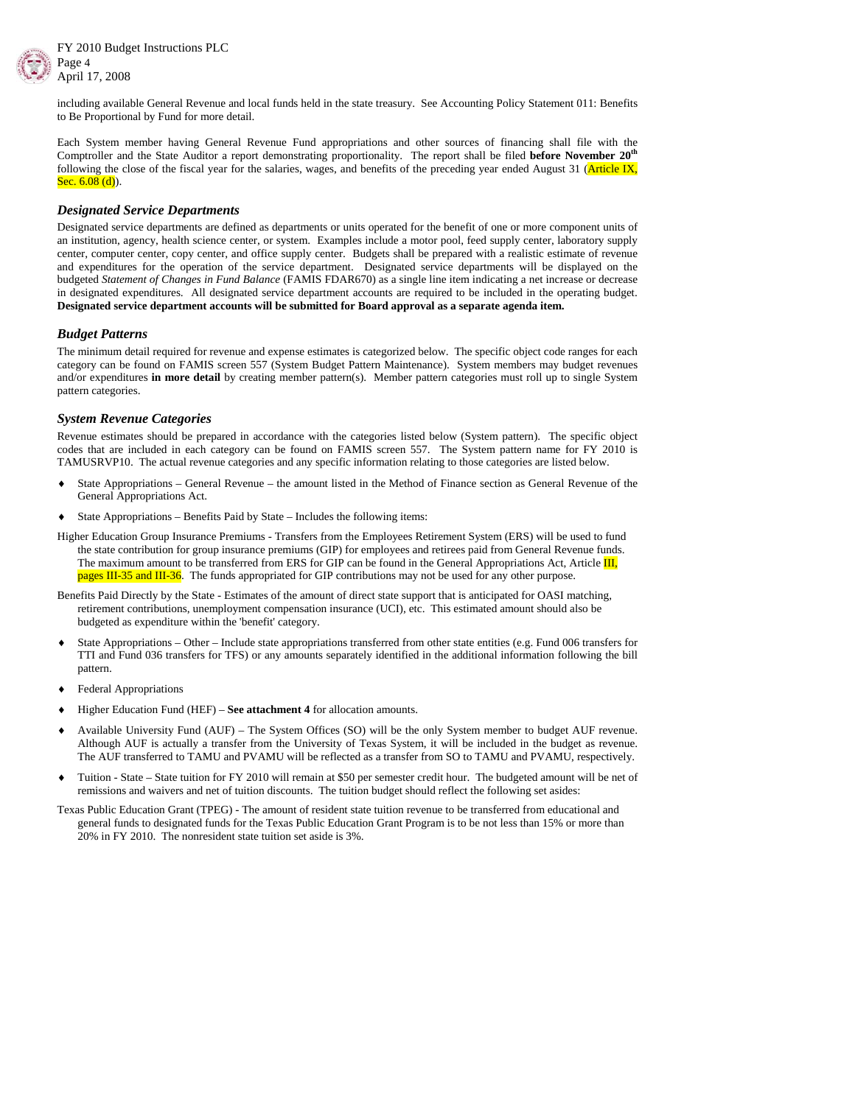



including available General Revenue and local funds held in the state treasury. See Accounting Policy Statement 011: Benefits to Be Proportional by Fund for more detail.

Each System member having General Revenue Fund appropriations and other sources of financing shall file with the Comptroller and the State Auditor a report demonstrating proportionality. The report shall be filed **before November 20th** following the close of the fiscal year for the salaries, wages, and benefits of the preceding year ended August 31 (Article IX, Sec.  $6.08$  (d)).

#### *Designated Service Departments*

Designated service departments are defined as departments or units operated for the benefit of one or more component units of an institution, agency, health science center, or system. Examples include a motor pool, feed supply center, laboratory supply center, computer center, copy center, and office supply center. Budgets shall be prepared with a realistic estimate of revenue and expenditures for the operation of the service department. Designated service departments will be displayed on the budgeted *Statement of Changes in Fund Balance* (FAMIS FDAR670) as a single line item indicating a net increase or decrease in designated expenditures. All designated service department accounts are required to be included in the operating budget. **Designated service department accounts will be submitted for Board approval as a separate agenda item.** 

#### *Budget Patterns*

The minimum detail required for revenue and expense estimates is categorized below. The specific object code ranges for each category can be found on FAMIS screen 557 (System Budget Pattern Maintenance). System members may budget revenues and/or expenditures **in more detail** by creating member pattern(s). Member pattern categories must roll up to single System pattern categories.

#### *System Revenue Categories*

Revenue estimates should be prepared in accordance with the categories listed below (System pattern). The specific object codes that are included in each category can be found on FAMIS screen 557. The System pattern name for FY 2010 is TAMUSRVP10. The actual revenue categories and any specific information relating to those categories are listed below.

- State Appropriations General Revenue the amount listed in the Method of Finance section as General Revenue of the General Appropriations Act.
- State Appropriations Benefits Paid by State Includes the following items:

Higher Education Group Insurance Premiums - Transfers from the Employees Retirement System (ERS) will be used to fund the state contribution for group insurance premiums (GIP) for employees and retirees paid from General Revenue funds. The maximum amount to be transferred from ERS for GIP can be found in the General Appropriations Act, Article **III**, pages III-35 and III-36. The funds appropriated for GIP contributions may not be used for any other purpose.

Benefits Paid Directly by the State - Estimates of the amount of direct state support that is anticipated for OASI matching, retirement contributions, unemployment compensation insurance (UCI), etc. This estimated amount should also be budgeted as expenditure within the 'benefit' category.

- State Appropriations Other Include state appropriations transferred from other state entities (e.g. Fund 006 transfers for TTI and Fund 036 transfers for TFS) or any amounts separately identified in the additional information following the bill pattern.
- Federal Appropriations
- Higher Education Fund (HEF) **See attachment 4** for allocation amounts.
- ♦ Available University Fund (AUF) The System Offices (SO) will be the only System member to budget AUF revenue. Although AUF is actually a transfer from the University of Texas System, it will be included in the budget as revenue. The AUF transferred to TAMU and PVAMU will be reflected as a transfer from SO to TAMU and PVAMU, respectively.
- Tuition State State tuition for FY 2010 will remain at \$50 per semester credit hour. The budgeted amount will be net of remissions and waivers and net of tuition discounts. The tuition budget should reflect the following set asides:

Texas Public Education Grant (TPEG) - The amount of resident state tuition revenue to be transferred from educational and general funds to designated funds for the Texas Public Education Grant Program is to be not less than 15% or more than 20% in FY 2010. The nonresident state tuition set aside is 3%.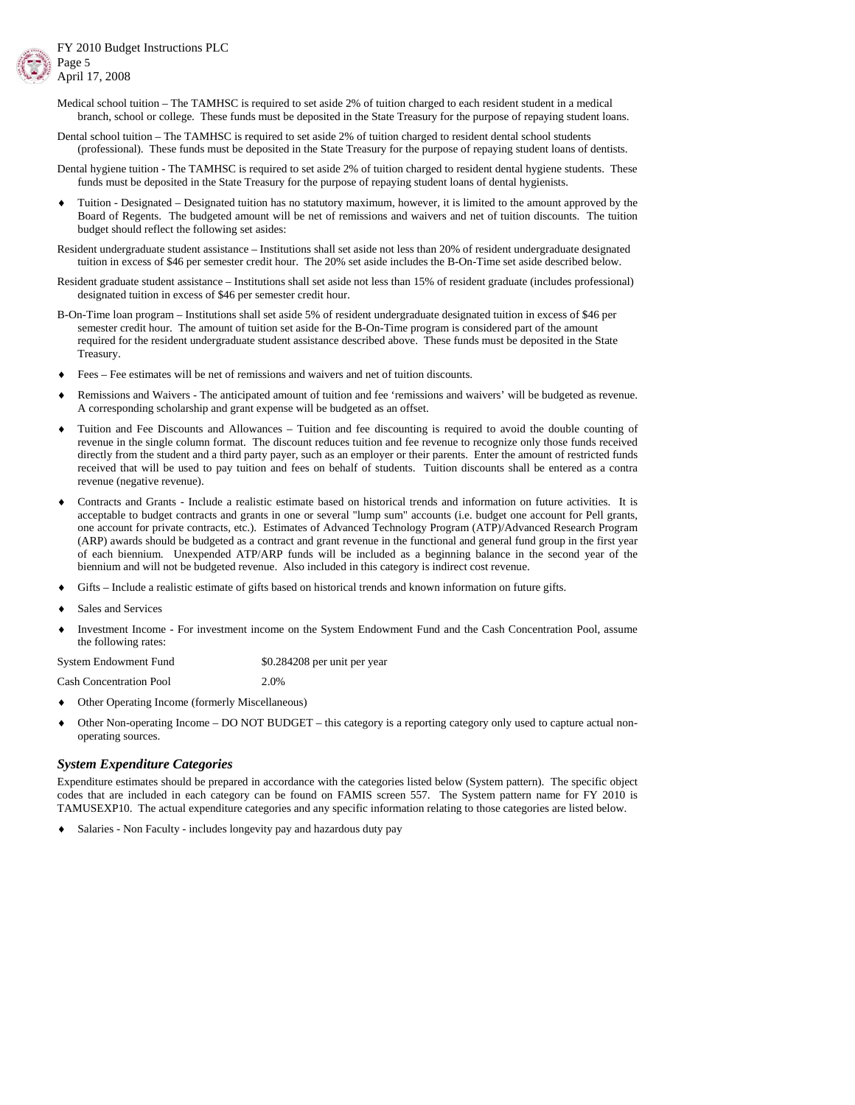- Medical school tuition The TAMHSC is required to set aside 2% of tuition charged to each resident student in a medical branch, school or college. These funds must be deposited in the State Treasury for the purpose of repaying student loans.
- Dental school tuition The TAMHSC is required to set aside 2% of tuition charged to resident dental school students (professional). These funds must be deposited in the State Treasury for the purpose of repaying student loans of dentists.
- Dental hygiene tuition The TAMHSC is required to set aside 2% of tuition charged to resident dental hygiene students. These funds must be deposited in the State Treasury for the purpose of repaying student loans of dental hygienists.
- Tuition Designated Designated tuition has no statutory maximum, however, it is limited to the amount approved by the Board of Regents. The budgeted amount will be net of remissions and waivers and net of tuition discounts. The tuition budget should reflect the following set asides:
- Resident undergraduate student assistance Institutions shall set aside not less than 20% of resident undergraduate designated tuition in excess of \$46 per semester credit hour. The 20% set aside includes the B-On-Time set aside described below.
- Resident graduate student assistance Institutions shall set aside not less than 15% of resident graduate (includes professional) designated tuition in excess of \$46 per semester credit hour.
- B-On-Time loan program Institutions shall set aside 5% of resident undergraduate designated tuition in excess of \$46 per semester credit hour. The amount of tuition set aside for the B-On-Time program is considered part of the amount required for the resident undergraduate student assistance described above. These funds must be deposited in the State Treasury.
- Fees Fee estimates will be net of remissions and waivers and net of tuition discounts.
- Remissions and Waivers The anticipated amount of tuition and fee 'remissions and waivers' will be budgeted as revenue. A corresponding scholarship and grant expense will be budgeted as an offset.
- Tuition and Fee Discounts and Allowances Tuition and fee discounting is required to avoid the double counting of revenue in the single column format. The discount reduces tuition and fee revenue to recognize only those funds received directly from the student and a third party payer, such as an employer or their parents. Enter the amount of restricted funds received that will be used to pay tuition and fees on behalf of students. Tuition discounts shall be entered as a contra revenue (negative revenue).
- Contracts and Grants Include a realistic estimate based on historical trends and information on future activities. It is acceptable to budget contracts and grants in one or several "lump sum" accounts (i.e. budget one account for Pell grants, one account for private contracts, etc.). Estimates of Advanced Technology Program (ATP)/Advanced Research Program (ARP) awards should be budgeted as a contract and grant revenue in the functional and general fund group in the first year of each biennium. Unexpended ATP/ARP funds will be included as a beginning balance in the second year of the biennium and will not be budgeted revenue. Also included in this category is indirect cost revenue.
- Gifts Include a realistic estimate of gifts based on historical trends and known information on future gifts.
- Sales and Services
- Investment Income For investment income on the System Endowment Fund and the Cash Concentration Pool, assume the following rates:

System Endowment Fund \$0.284208 per unit per year

Cash Concentration Pool 2.0%

- Other Operating Income (formerly Miscellaneous)
- Other Non-operating Income DO NOT BUDGET this category is a reporting category only used to capture actual nonoperating sources.

#### *System Expenditure Categories*

Expenditure estimates should be prepared in accordance with the categories listed below (System pattern). The specific object codes that are included in each category can be found on FAMIS screen 557. The System pattern name for FY 2010 is TAMUSEXP10. The actual expenditure categories and any specific information relating to those categories are listed below.

Salaries - Non Faculty - includes longevity pay and hazardous duty pay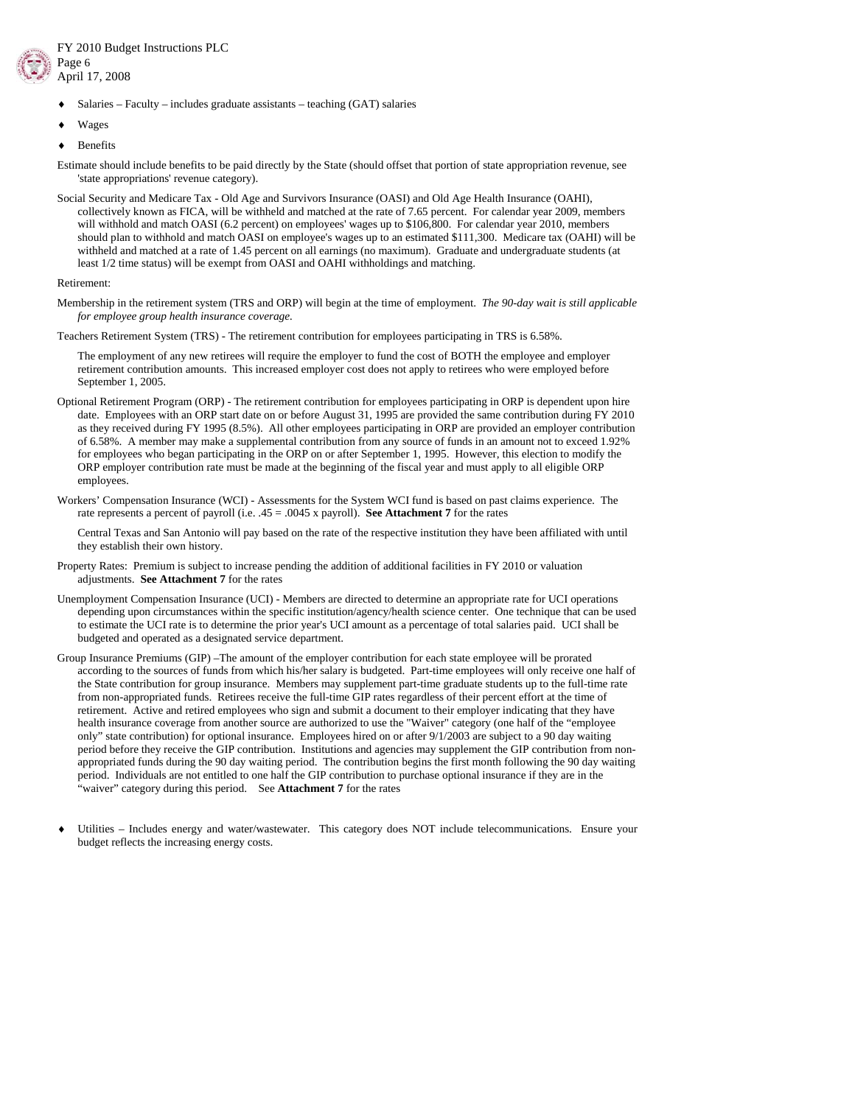

- $Salaries Faculty includes graduate assistants teaching (GAT) salaries$
- Wages
- **Benefits**

Estimate should include benefits to be paid directly by the State (should offset that portion of state appropriation revenue, see 'state appropriations' revenue category).

Social Security and Medicare Tax - Old Age and Survivors Insurance (OASI) and Old Age Health Insurance (OAHI), collectively known as FICA, will be withheld and matched at the rate of 7.65 percent. For calendar year 2009, members will withhold and match OASI (6.2 percent) on employees' wages up to \$106,800. For calendar year 2010, members should plan to withhold and match OASI on employee's wages up to an estimated \$111,300. Medicare tax (OAHI) will be withheld and matched at a rate of 1.45 percent on all earnings (no maximum). Graduate and undergraduate students (at least 1/2 time status) will be exempt from OASI and OAHI withholdings and matching.

#### Retirement:

Membership in the retirement system (TRS and ORP) will begin at the time of employment. *The 90-day wait is still applicable for employee group health insurance coverage.*

Teachers Retirement System (TRS) - The retirement contribution for employees participating in TRS is 6.58%.

 The employment of any new retirees will require the employer to fund the cost of BOTH the employee and employer retirement contribution amounts. This increased employer cost does not apply to retirees who were employed before September 1, 2005.

- Optional Retirement Program (ORP) The retirement contribution for employees participating in ORP is dependent upon hire date. Employees with an ORP start date on or before August 31, 1995 are provided the same contribution during FY 2010 as they received during FY 1995 (8.5%). All other employees participating in ORP are provided an employer contribution of 6.58%. A member may make a supplemental contribution from any source of funds in an amount not to exceed 1.92% for employees who began participating in the ORP on or after September 1, 1995. However, this election to modify the ORP employer contribution rate must be made at the beginning of the fiscal year and must apply to all eligible ORP employees.
- Workers' Compensation Insurance (WCI) Assessments for the System WCI fund is based on past claims experience. The rate represents a percent of payroll (i.e. .45 = .0045 x payroll). **See Attachment 7** for the rates

 Central Texas and San Antonio will pay based on the rate of the respective institution they have been affiliated with until they establish their own history.

- Property Rates: Premium is subject to increase pending the addition of additional facilities in FY 2010 or valuation adjustments. **See Attachment 7** for the rates
- Unemployment Compensation Insurance (UCI) Members are directed to determine an appropriate rate for UCI operations depending upon circumstances within the specific institution/agency/health science center. One technique that can be used to estimate the UCI rate is to determine the prior year's UCI amount as a percentage of total salaries paid. UCI shall be budgeted and operated as a designated service department.
- Group Insurance Premiums (GIP) –The amount of the employer contribution for each state employee will be prorated according to the sources of funds from which his/her salary is budgeted. Part-time employees will only receive one half of the State contribution for group insurance. Members may supplement part-time graduate students up to the full-time rate from non-appropriated funds. Retirees receive the full-time GIP rates regardless of their percent effort at the time of retirement. Active and retired employees who sign and submit a document to their employer indicating that they have health insurance coverage from another source are authorized to use the "Waiver" category (one half of the "employee only" state contribution) for optional insurance. Employees hired on or after 9/1/2003 are subject to a 90 day waiting period before they receive the GIP contribution. Institutions and agencies may supplement the GIP contribution from nonappropriated funds during the 90 day waiting period. The contribution begins the first month following the 90 day waiting period. Individuals are not entitled to one half the GIP contribution to purchase optional insurance if they are in the 'waiver'' category during this period. See **Attachment 7** for the rates
- Utilities Includes energy and water/wastewater. This category does NOT include telecommunications. Ensure your budget reflects the increasing energy costs.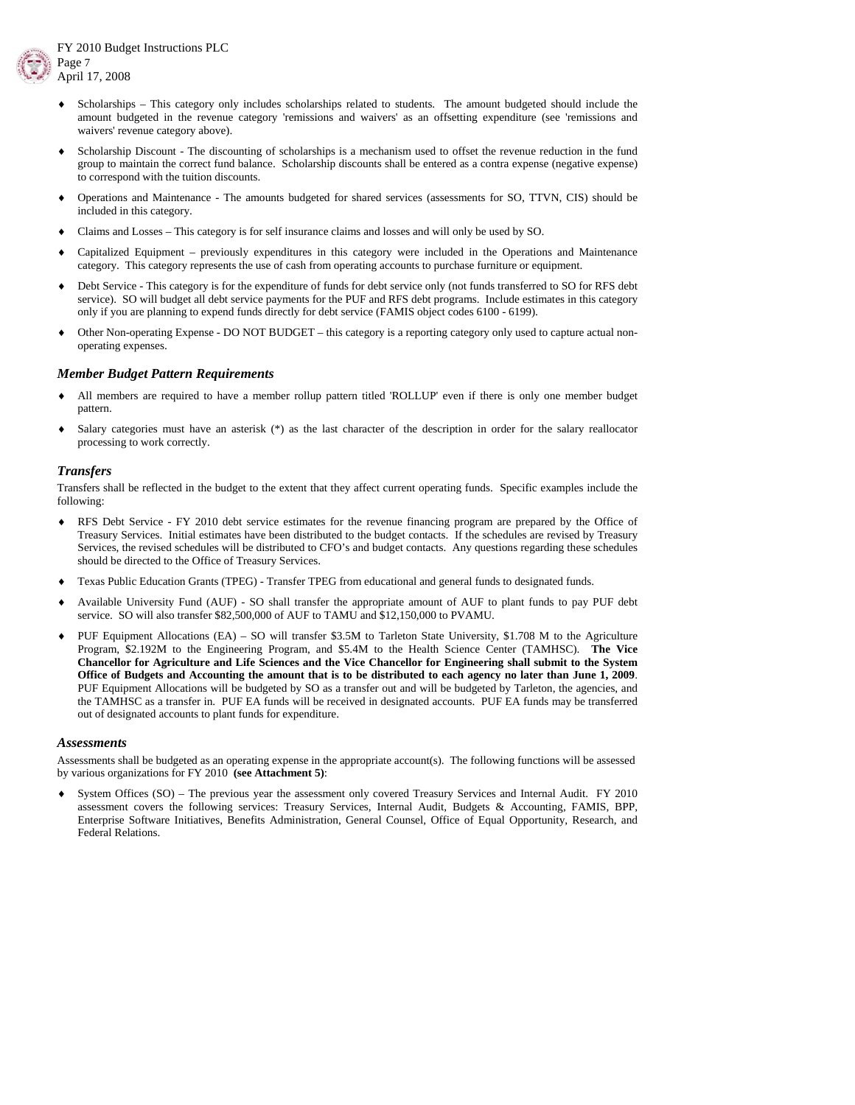

- FY 2010 Budget Instructions PLC April 17, 2008
	- Scholarships This category only includes scholarships related to students. The amount budgeted should include the amount budgeted in the revenue category 'remissions and waivers' as an offsetting expenditure (see 'remissions and waivers' revenue category above).
	- Scholarship Discount The discounting of scholarships is a mechanism used to offset the revenue reduction in the fund group to maintain the correct fund balance. Scholarship discounts shall be entered as a contra expense (negative expense) to correspond with the tuition discounts.
	- ♦ Operations and Maintenance The amounts budgeted for shared services (assessments for SO, TTVN, CIS) should be included in this category.
	- ♦ Claims and Losses This category is for self insurance claims and losses and will only be used by SO.
	- Capitalized Equipment previously expenditures in this category were included in the Operations and Maintenance category. This category represents the use of cash from operating accounts to purchase furniture or equipment.
	- Debt Service This category is for the expenditure of funds for debt service only (not funds transferred to SO for RFS debt service). SO will budget all debt service payments for the PUF and RFS debt programs. Include estimates in this category only if you are planning to expend funds directly for debt service (FAMIS object codes 6100 - 6199).
	- Other Non-operating Expense DO NOT BUDGET this category is a reporting category only used to capture actual nonoperating expenses.

#### *Member Budget Pattern Requirements*

- All members are required to have a member rollup pattern titled 'ROLLUP' even if there is only one member budget pattern.
- Salary categories must have an asterisk  $(*)$  as the last character of the description in order for the salary reallocator processing to work correctly.

### *Transfers*

Transfers shall be reflected in the budget to the extent that they affect current operating funds. Specific examples include the following:

- RFS Debt Service FY 2010 debt service estimates for the revenue financing program are prepared by the Office of Treasury Services. Initial estimates have been distributed to the budget contacts. If the schedules are revised by Treasury Services, the revised schedules will be distributed to CFO's and budget contacts. Any questions regarding these schedules should be directed to the Office of Treasury Services.
- Texas Public Education Grants (TPEG) Transfer TPEG from educational and general funds to designated funds.
- ♦ Available University Fund (AUF) SO shall transfer the appropriate amount of AUF to plant funds to pay PUF debt service. SO will also transfer \$82,500,000 of AUF to TAMU and \$12,150,000 to PVAMU.
- ♦ PUF Equipment Allocations (EA) SO will transfer \$3.5M to Tarleton State University, \$1.708 M to the Agriculture Program, \$2.192M to the Engineering Program, and \$5.4M to the Health Science Center (TAMHSC). **The Vice Chancellor for Agriculture and Life Sciences and the Vice Chancellor for Engineering shall submit to the System Office of Budgets and Accounting the amount that is to be distributed to each agency no later than June 1, 2009**. PUF Equipment Allocations will be budgeted by SO as a transfer out and will be budgeted by Tarleton, the agencies, and the TAMHSC as a transfer in. PUF EA funds will be received in designated accounts. PUF EA funds may be transferred out of designated accounts to plant funds for expenditure.

#### *Assessments*

Assessments shall be budgeted as an operating expense in the appropriate account(s). The following functions will be assessed by various organizations for FY 2010 **(see Attachment 5)**:

System Offices (SO) – The previous year the assessment only covered Treasury Services and Internal Audit. FY 2010 assessment covers the following services: Treasury Services, Internal Audit, Budgets & Accounting, FAMIS, BPP, Enterprise Software Initiatives, Benefits Administration, General Counsel, Office of Equal Opportunity, Research, and Federal Relations.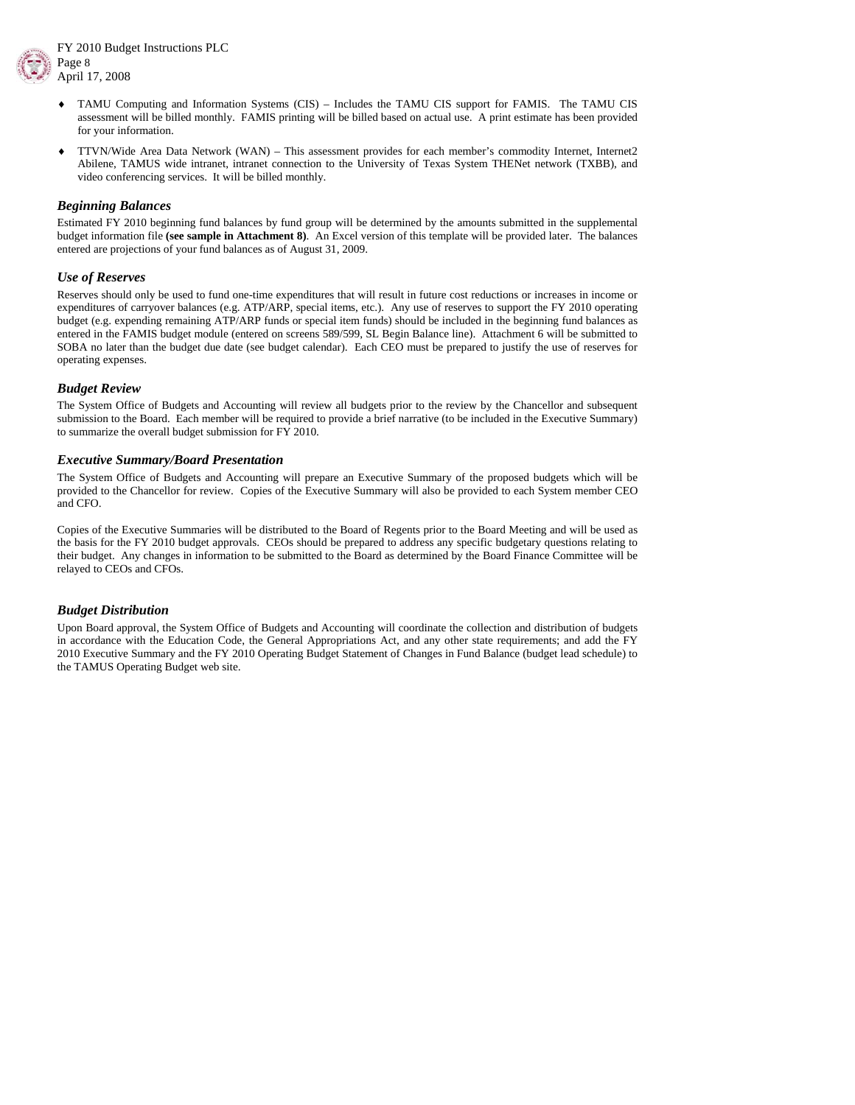



- ♦ TAMU Computing and Information Systems (CIS) Includes the TAMU CIS support for FAMIS. The TAMU CIS assessment will be billed monthly. FAMIS printing will be billed based on actual use. A print estimate has been provided for your information.
- ♦ TTVN/Wide Area Data Network (WAN) This assessment provides for each member's commodity Internet, Internet2 Abilene, TAMUS wide intranet, intranet connection to the University of Texas System THENet network (TXBB), and video conferencing services. It will be billed monthly.

#### *Beginning Balances*

Estimated FY 2010 beginning fund balances by fund group will be determined by the amounts submitted in the supplemental budget information file **(see sample in Attachment 8)**. An Excel version of this template will be provided later. The balances entered are projections of your fund balances as of August 31, 2009.

### *Use of Reserves*

Reserves should only be used to fund one-time expenditures that will result in future cost reductions or increases in income or expenditures of carryover balances (e.g. ATP/ARP, special items, etc.). Any use of reserves to support the FY 2010 operating budget (e.g. expending remaining ATP/ARP funds or special item funds) should be included in the beginning fund balances as entered in the FAMIS budget module (entered on screens 589/599, SL Begin Balance line). Attachment 6 will be submitted to SOBA no later than the budget due date (see budget calendar). Each CEO must be prepared to justify the use of reserves for operating expenses.

### *Budget Review*

The System Office of Budgets and Accounting will review all budgets prior to the review by the Chancellor and subsequent submission to the Board. Each member will be required to provide a brief narrative (to be included in the Executive Summary) to summarize the overall budget submission for FY 2010.

### *Executive Summary/Board Presentation*

The System Office of Budgets and Accounting will prepare an Executive Summary of the proposed budgets which will be provided to the Chancellor for review. Copies of the Executive Summary will also be provided to each System member CEO and CFO.

Copies of the Executive Summaries will be distributed to the Board of Regents prior to the Board Meeting and will be used as the basis for the FY 2010 budget approvals. CEOs should be prepared to address any specific budgetary questions relating to their budget. Any changes in information to be submitted to the Board as determined by the Board Finance Committee will be relayed to CEOs and CFOs.

### *Budget Distribution*

Upon Board approval, the System Office of Budgets and Accounting will coordinate the collection and distribution of budgets in accordance with the Education Code, the General Appropriations Act, and any other state requirements; and add the FY 2010 Executive Summary and the FY 2010 Operating Budget Statement of Changes in Fund Balance (budget lead schedule) to the TAMUS Operating Budget web site.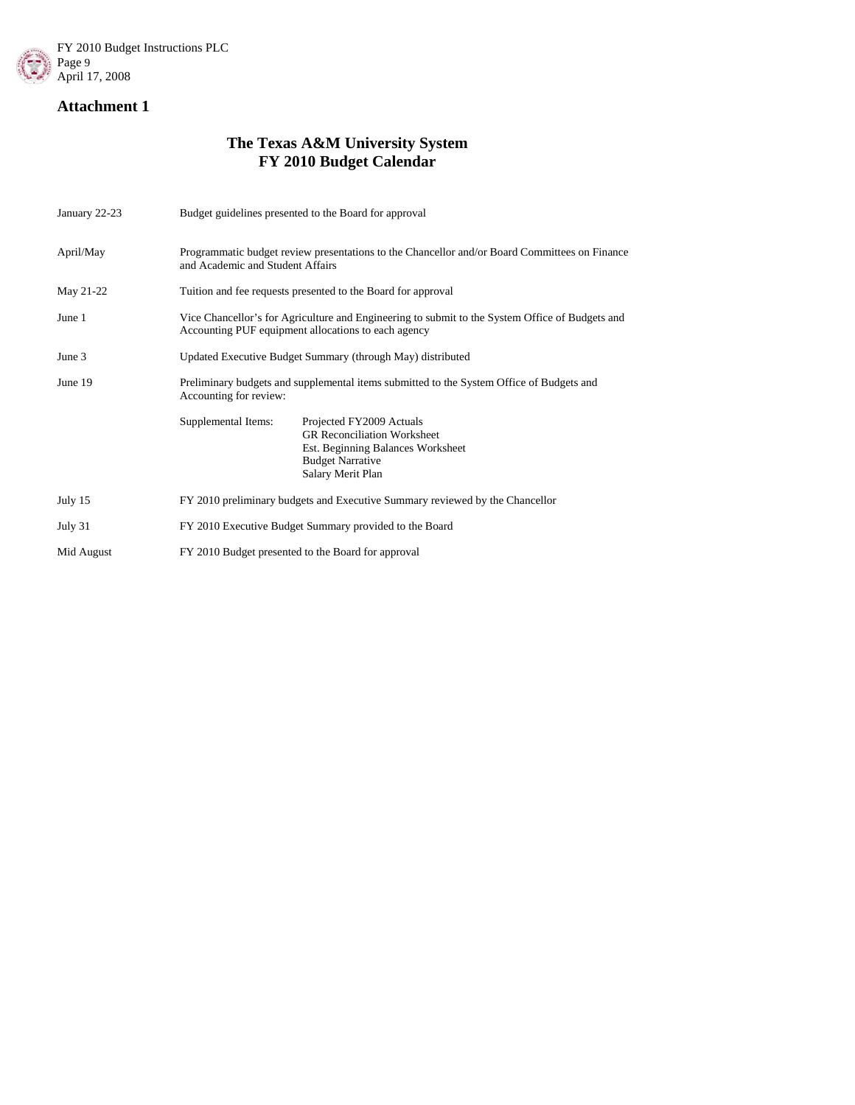

# **The Texas A&M University System FY 2010 Budget Calendar**

| January 22-23 | Budget guidelines presented to the Board for approval                                                                                                                      |  |  |  |  |
|---------------|----------------------------------------------------------------------------------------------------------------------------------------------------------------------------|--|--|--|--|
| April/May     | Programmatic budget review presentations to the Chancellor and/or Board Committees on Finance<br>and Academic and Student Affairs                                          |  |  |  |  |
| May 21-22     | Tuition and fee requests presented to the Board for approval                                                                                                               |  |  |  |  |
| June 1        | Vice Chancellor's for Agriculture and Engineering to submit to the System Office of Budgets and<br>Accounting PUF equipment allocations to each agency                     |  |  |  |  |
| June 3        | Updated Executive Budget Summary (through May) distributed                                                                                                                 |  |  |  |  |
| June 19       | Preliminary budgets and supplemental items submitted to the System Office of Budgets and<br>Accounting for review:                                                         |  |  |  |  |
|               | Supplemental Items:<br>Projected FY2009 Actuals<br><b>GR Reconciliation Worksheet</b><br>Est. Beginning Balances Worksheet<br><b>Budget Narrative</b><br>Salary Merit Plan |  |  |  |  |
| July 15       | FY 2010 preliminary budgets and Executive Summary reviewed by the Chancellor                                                                                               |  |  |  |  |
| July 31       | FY 2010 Executive Budget Summary provided to the Board                                                                                                                     |  |  |  |  |
| Mid August    | FY 2010 Budget presented to the Board for approval                                                                                                                         |  |  |  |  |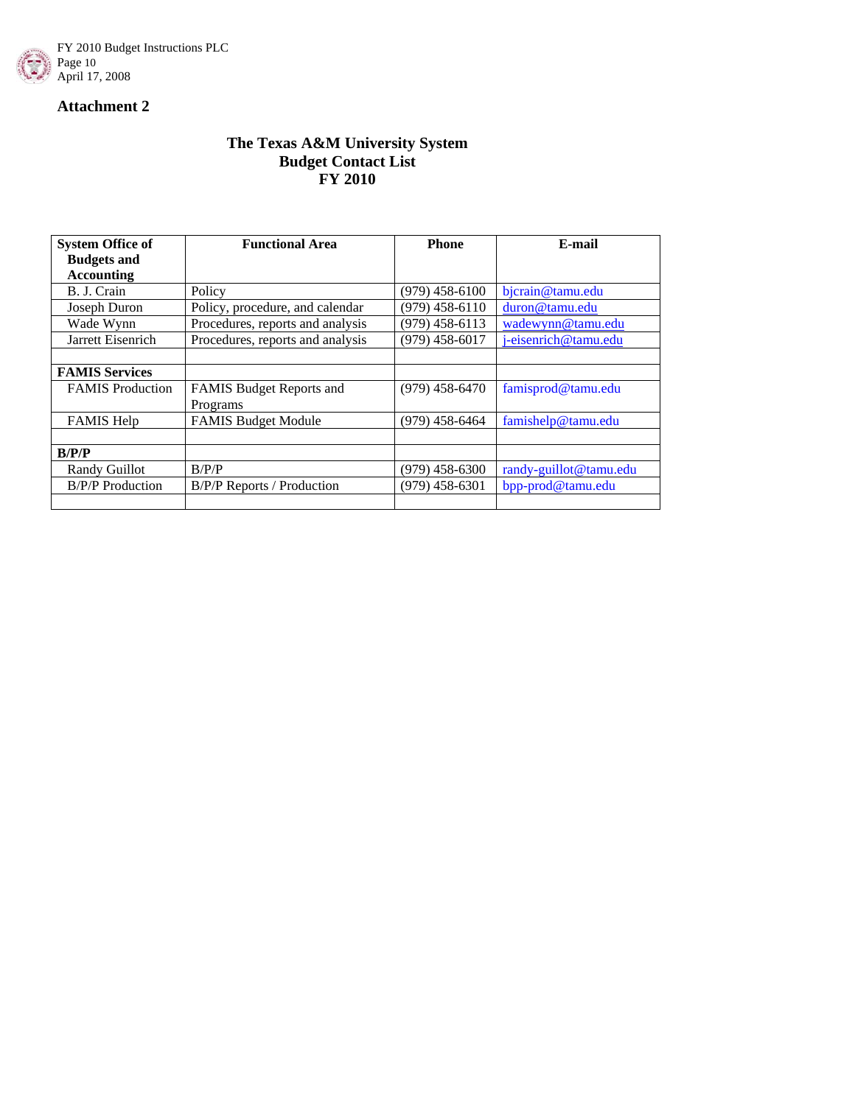



### **The Texas A&M University System Budget Contact List FY 2010**

| <b>System Office of</b> | <b>Functional Area</b>            | <b>Phone</b>     | E-mail                 |
|-------------------------|-----------------------------------|------------------|------------------------|
| <b>Budgets and</b>      |                                   |                  |                        |
| <b>Accounting</b>       |                                   |                  |                        |
| B. J. Crain             | Policy                            | $(979)$ 458-6100 | bjcrain@tamu.edu       |
| Joseph Duron            | Policy, procedure, and calendar   | $(979)$ 458-6110 | duron@tamu.edu         |
| Wade Wynn               | Procedures, reports and analysis  | $(979)$ 458-6113 | wadewynn@tamu.edu      |
| Jarrett Eisenrich       | Procedures, reports and analysis  | $(979)$ 458-6017 | j-eisenrich@tamu.edu   |
|                         |                                   |                  |                        |
| <b>FAMIS Services</b>   |                                   |                  |                        |
| <b>FAMIS</b> Production | FAMIS Budget Reports and          | $(979)$ 458-6470 | famisprod@tamu.edu     |
|                         | Programs                          |                  |                        |
| <b>FAMIS Help</b>       | <b>FAMIS Budget Module</b>        | $(979)$ 458-6464 | famishelp@tamu.edu     |
|                         |                                   |                  |                        |
| B/P/P                   |                                   |                  |                        |
| Randy Guillot           | B/P/P                             | $(979)$ 458-6300 | randy-guillot@tamu.edu |
| <b>B/P/P</b> Production | <b>B/P/P Reports / Production</b> | $(979)$ 458-6301 | bpp-prod@tamu.edu      |
|                         |                                   |                  |                        |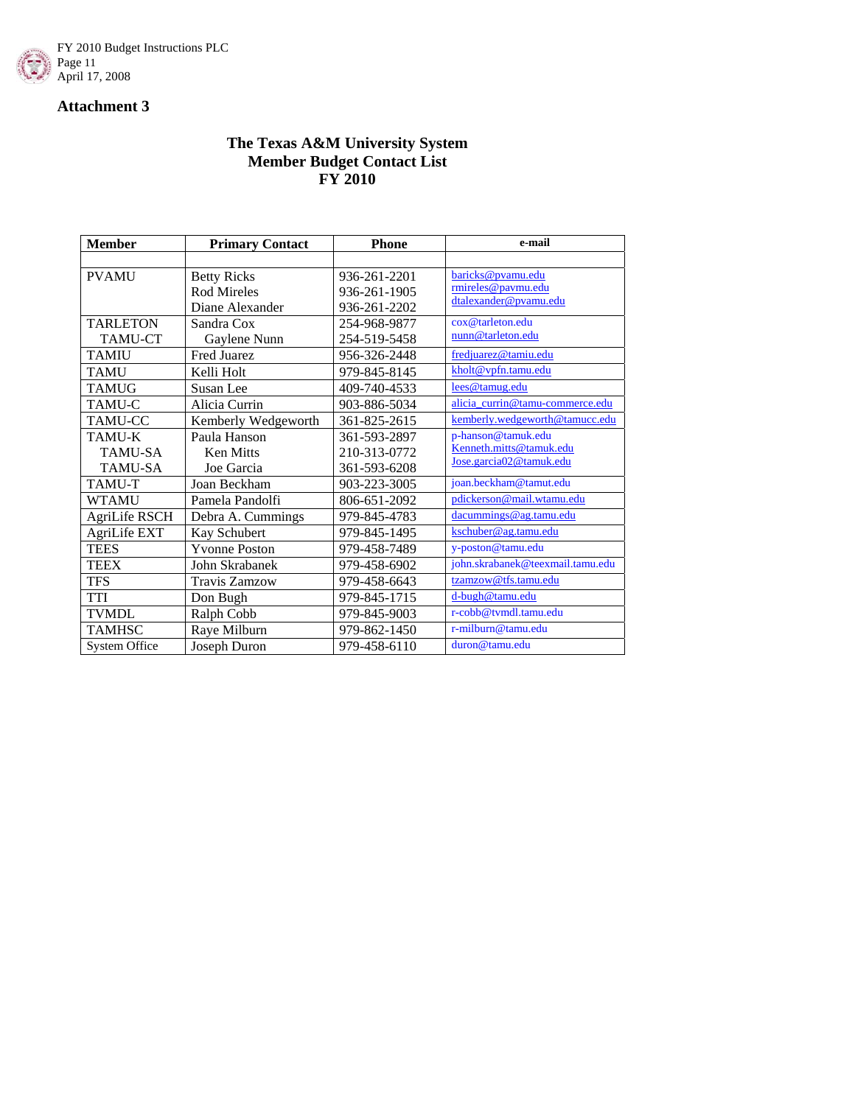

### **The Texas A&M University System Member Budget Contact List FY 2010**

| <b>Member</b>        | <b>Primary Contact</b> | <b>Phone</b> | e-mail                           |
|----------------------|------------------------|--------------|----------------------------------|
|                      |                        |              |                                  |
| <b>PVAMU</b>         | <b>Betty Ricks</b>     | 936-261-2201 | baricks@pvamu.edu                |
|                      | Rod Mireles            | 936-261-1905 | rmireles@paymu.edu               |
|                      | Diane Alexander        | 936-261-2202 | dtalexander@pvamu.edu            |
| <b>TARLETON</b>      | Sandra Cox             | 254-968-9877 | cox@tarleton.edu                 |
| <b>TAMU-CT</b>       | Gaylene Nunn           | 254-519-5458 | nunn@tarleton.edu                |
| <b>TAMIU</b>         | Fred Juarez            | 956-326-2448 | fredjuarez@tamiu.edu             |
| <b>TAMU</b>          | Kelli Holt             | 979-845-8145 | kholt@vpfn.tamu.edu              |
| <b>TAMUG</b>         | Susan Lee              | 409-740-4533 | lees@tamug.edu                   |
| TAMU-C               | Alicia Currin          | 903-886-5034 | alicia_currin@tamu-commerce.edu  |
| TAMU-CC              | Kemberly Wedgeworth    | 361-825-2615 | kemberly.wedgeworth@tamucc.edu   |
| TAMU-K               | Paula Hanson           | 361-593-2897 | p-hanson@tamuk.edu               |
| <b>TAMU-SA</b>       | <b>Ken Mitts</b>       | 210-313-0772 | Kenneth.mitts@tamuk.edu          |
| <b>TAMU-SA</b>       | Joe Garcia             | 361-593-6208 | Jose.garcia02@tamuk.edu          |
| <b>TAMU-T</b>        | Joan Beckham           | 903-223-3005 | joan.beckham@tamut.edu           |
| <b>WTAMU</b>         | Pamela Pandolfi        | 806-651-2092 | pdickerson@mail.wtamu.edu        |
| <b>AgriLife RSCH</b> | Debra A. Cummings      | 979-845-4783 | dacummings@ag.tamu.edu           |
| AgriLife EXT         | Kay Schubert           | 979-845-1495 | kschuber@ag.tamu.edu             |
| <b>TEES</b>          | <b>Yvonne Poston</b>   | 979-458-7489 | y-poston@tamu.edu                |
| <b>TEEX</b>          | John Skrabanek         | 979-458-6902 | john.skrabanek@teexmail.tamu.edu |
| <b>TFS</b>           | <b>Travis Zamzow</b>   | 979-458-6643 | tzamzow@tfs.tamu.edu             |
| <b>TTI</b>           | Don Bugh               | 979-845-1715 | d-bugh@tamu.edu                  |
| <b>TVMDL</b>         | Ralph Cobb             | 979-845-9003 | r-cobb@tvmdl.tamu.edu            |
| <b>TAMHSC</b>        | Raye Milburn           | 979-862-1450 | r-milburn@tamu.edu               |
| System Office        | Joseph Duron           | 979-458-6110 | duron@tamu.edu                   |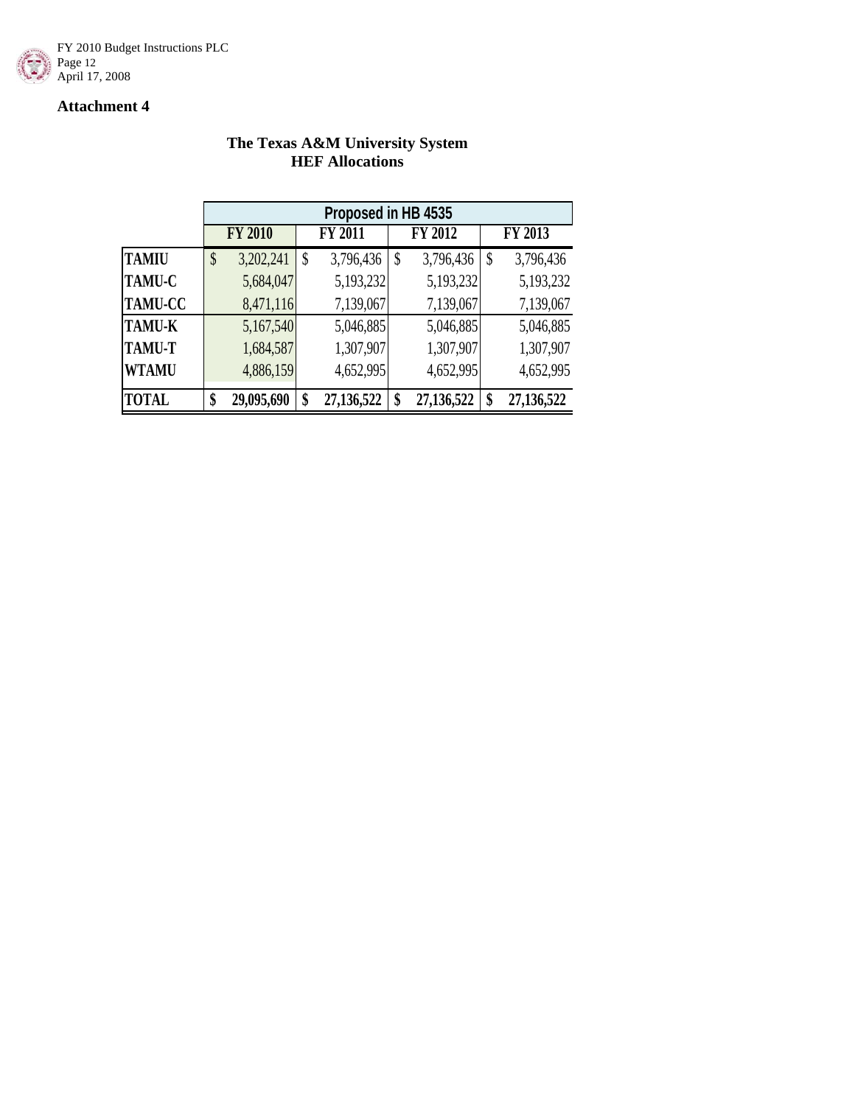

### **The Texas A&M University System HEF Allocations**

|                |    | Proposed in HB 4535 |    |                |    |            |    |            |  |
|----------------|----|---------------------|----|----------------|----|------------|----|------------|--|
|                |    | <b>FY 2010</b>      |    | <b>FY 2011</b> |    | FY 2012    |    | FY 2013    |  |
| <b>TAMIU</b>   | \$ | 3,202,241           | \$ | 3,796,436      | \$ | 3,796,436  | \$ | 3,796,436  |  |
| <b>TAMU-C</b>  |    | 5,684,047           |    | 5,193,232      |    | 5,193,232  |    | 5,193,232  |  |
| <b>TAMU-CC</b> |    | 8,471,116           |    | 7,139,067      |    | 7,139,067  |    | 7,139,067  |  |
| <b>TAMU-K</b>  |    | 5,167,540           |    | 5,046,885      |    | 5,046,885  |    | 5,046,885  |  |
| <b>TAMU-T</b>  |    | 1,684,587           |    | 1,307,907      |    | 1,307,907  |    | 1,307,907  |  |
| <b>WTAMU</b>   |    | 4,886,159           |    | 4,652,995      |    | 4,652,995  |    | 4,652,995  |  |
| <b>TOTAL</b>   | ¢  | 29,095,690          | \$ | 27,136,522     | \$ | 27,136,522 |    | 27,136,522 |  |

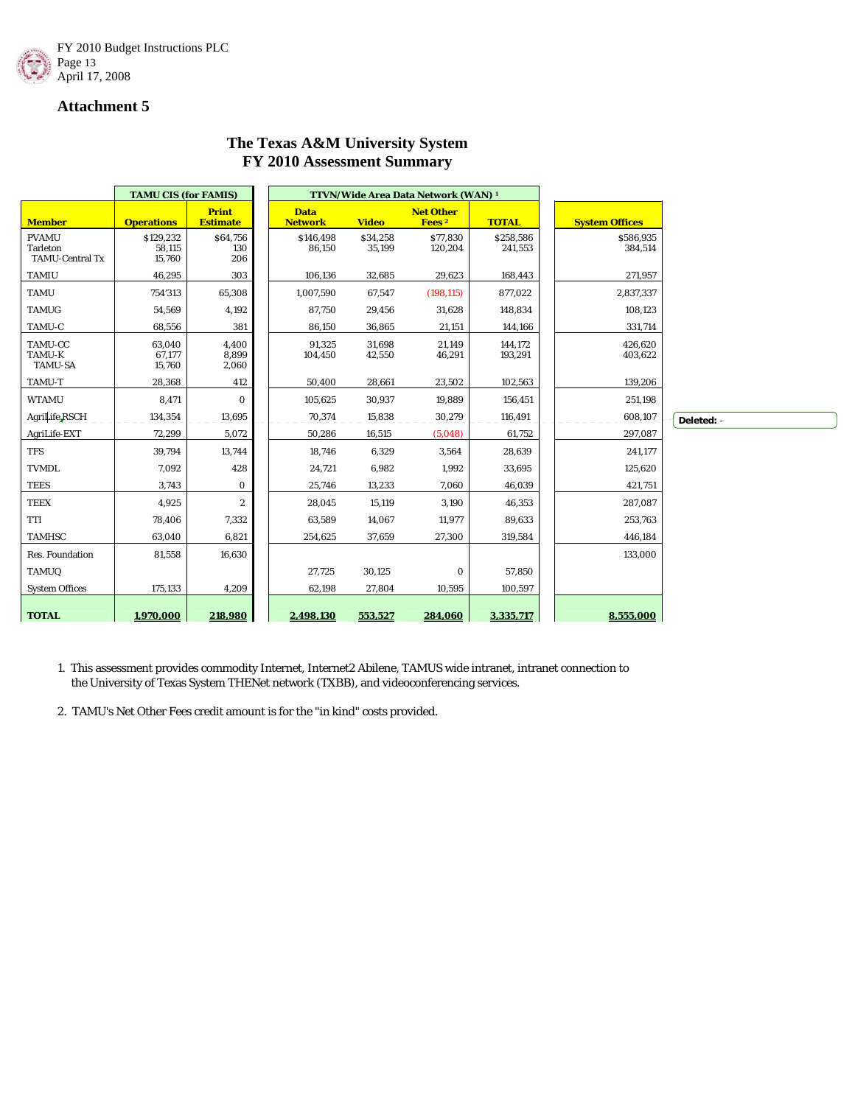

# **The Texas A&M University System FY 2010 Assessment Summary**

|                                                           | <b>TAMU CIS (for FAMIS)</b>   |                                 | TTVN/Wide Area Data Network (WAN) <sup>1</sup> |                    |                                       |                      |                       |            |
|-----------------------------------------------------------|-------------------------------|---------------------------------|------------------------------------------------|--------------------|---------------------------------------|----------------------|-----------------------|------------|
| <b>Member</b>                                             | <b>Operations</b>             | <b>Print</b><br><b>Estimate</b> | <b>Data</b><br><b>Network</b>                  | <b>Video</b>       | <b>Net Other</b><br>Fees <sup>2</sup> | <b>TOTAL</b>         | <b>System Offices</b> |            |
| <b>PVAMU</b><br><b>Tarleton</b><br><b>TAMU-Central Tx</b> | \$129,232<br>58,115<br>15,760 | \$64,756<br>130<br>206          | \$146,498<br>86,150                            | \$34,258<br>35,199 | \$77,830<br>120,204                   | \$258,586<br>241,553 | \$586,935<br>384,514  |            |
| <b>TAMIU</b>                                              | 46,295                        | 303                             | 106,136                                        | 32,685             | 29,623                                | 168,443              | 271,957               |            |
| <b>TAMU</b>                                               | 754'313                       | 65,308                          | 1,007,590                                      | 67,547             | (198, 115)                            | 877,022              | 2,837,337             |            |
| <b>TAMUG</b>                                              | 54,569                        | 4,192                           | 87,750                                         | 29,456             | 31,628                                | 148,834              | 108,123               |            |
| TAMU-C                                                    | 68,556                        | 381                             | 86,150                                         | 36,865             | 21,151                                | 144,166              | 331,714               |            |
| TAMU-CC<br>TAMU-K<br><b>TAMU-SA</b>                       | 63,040<br>67,177<br>15,760    | 4,400<br>8,899<br>2,060         | 91,325<br>104,450                              | 31,698<br>42,550   | 21,149<br>46,291                      | 144,172<br>193,291   | 426,620<br>403,622    |            |
| TAMU-T                                                    | 28,368                        | 412                             | 50,400                                         | 28,661             | 23,502                                | 102,563              | 139,206               |            |
| <b>WTAMU</b>                                              | 8,471                         | $\bf{0}$                        | 105,625                                        | 30,937             | 19,889                                | 156,451              | 251,198               |            |
| AgriLife RSCH                                             | 134,354                       | 13,695                          | 70,374                                         | 15,838             | 30,279                                | 116,491              | 608,107               | Deleted: - |
| AgriLife-EXT                                              | 72,299                        | 5,072                           | 50,286                                         | 16,515             | (5,048)                               | 61,752               | 297,087               |            |
| <b>TFS</b>                                                | 39,794                        | 13,744                          | 18,746                                         | 6,329              | 3,564                                 | 28,639               | 241,177               |            |
| <b>TVMDL</b>                                              | 7,092                         | 428                             | 24,721                                         | 6,982              | 1,992                                 | 33,695               | 125,620               |            |
| <b>TEES</b>                                               | 3,743                         | $\bf{0}$                        | 25,746                                         | 13,233             | 7,060                                 | 46,039               | 421,751               |            |
| <b>TEEX</b>                                               | 4,925                         | $\boldsymbol{2}$                | 28,045                                         | 15,119             | 3,190                                 | 46,353               | 287,087               |            |
| TTI                                                       | 78,406                        | 7,332                           | 63,589                                         | 14,067             | 11,977                                | 89,633               | 253,763               |            |
| <b>TAMHSC</b>                                             | 63,040                        | 6,821                           | 254,625                                        | 37,659             | 27,300                                | 319,584              | 446,184               |            |
| Res. Foundation                                           | 81,558                        | 16,630                          |                                                |                    |                                       |                      | 133,000               |            |
| <b>TAMUQ</b>                                              |                               |                                 | 27,725                                         | 30,125             | $\mathbf{0}$                          | 57,850               |                       |            |
| <b>System Offices</b>                                     | 175,133                       | 4,209                           | 62,198                                         | 27,804             | 10,595                                | 100,597              |                       |            |
| <b>TOTAL</b>                                              | 1.970.000                     | 218.980                         | 2.498.130                                      | 553.527            | 284.060                               | 3,335,717            | 8.555.000             |            |

1. This assessment provides commodity Internet, Internet2 Abilene, TAMUS wide intranet, intranet connection to the University of Texas System THENet network (TXBB), and videoconferencing services.

2. TAMU's Net Other Fees credit amount is for the "in kind" costs provided.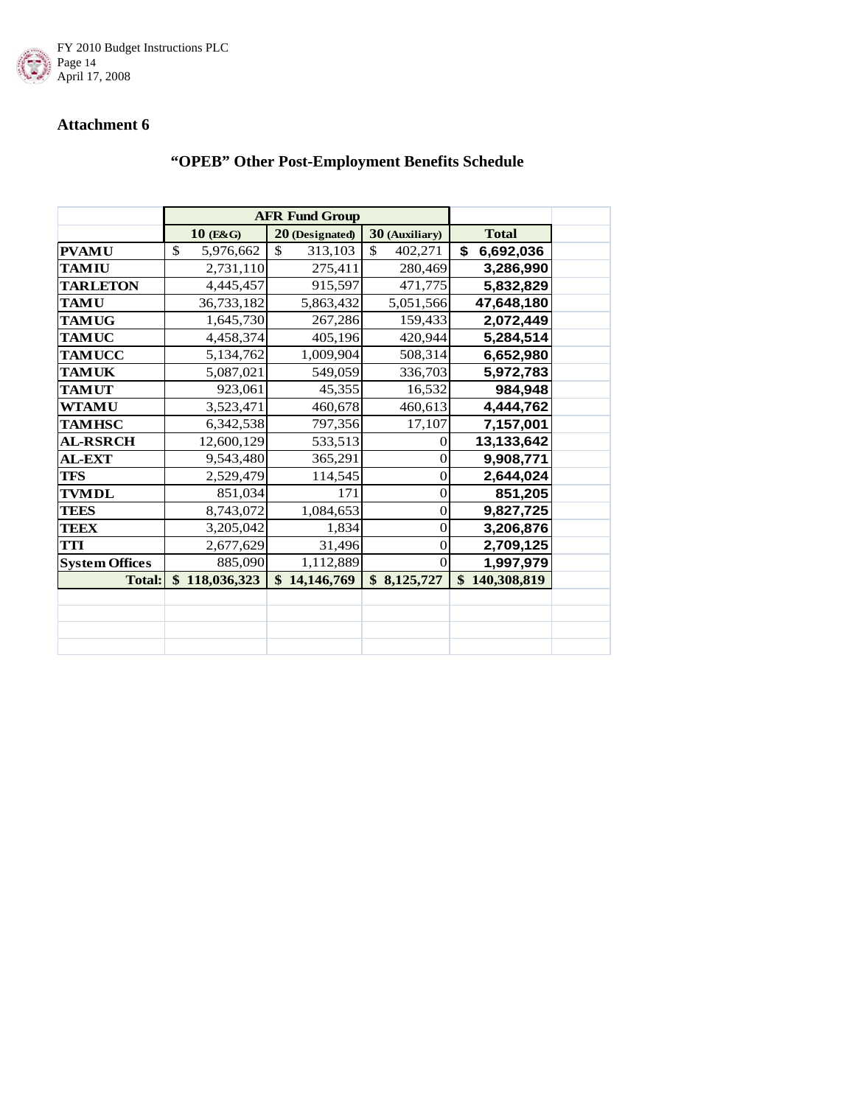

# **"OPEB" Other Post-Employment Benefits Schedule**

|                       |                 | <b>AFR Fund Group</b> |                  |                 |  |
|-----------------------|-----------------|-----------------------|------------------|-----------------|--|
|                       | $10$ (E&G)      | 20 (Designated)       | 30 (Auxiliary)   | <b>Total</b>    |  |
| <b>PVAMU</b>          | \$<br>5,976,662 | \$<br>313,103         | \$<br>402,271    | \$<br>6,692,036 |  |
| <b>TAMIU</b>          | 2,731,110       | 275,411               | 280,469          | 3,286,990       |  |
| <b>TARLETON</b>       | 4,445,457       | 915,597               | 471,775          | 5,832,829       |  |
| <b>TAMU</b>           | 36,733,182      | 5,863,432             | 5,051,566        | 47,648,180      |  |
| <b>TAMUG</b>          | 1,645,730       | 267,286               | 159,433          | 2,072,449       |  |
| <b>TAMUC</b>          | 4,458,374       | 405,196               | 420,944          | 5,284,514       |  |
| <b>TAMUCC</b>         | 5,134,762       | 1,009,904             | 508,314          | 6,652,980       |  |
| <b>TAMUK</b>          | 5,087,021       | 549,059               | 336,703          | 5,972,783       |  |
| <b>TAMUT</b>          | 923,061         | 45,355                | 16,532           | 984,948         |  |
| <b>WTAMU</b>          | 3,523,471       | 460,678               | 460,613          | 4,444,762       |  |
| <b>TAMHSC</b>         | 6,342,538       | 797,356               | 17,107           | 7,157,001       |  |
| <b>AL-RSRCH</b>       | 12,600,129      | 533,513               | 0                | 13,133,642      |  |
| <b>AL-EXT</b>         | 9,543,480       | 365,291               | $\overline{0}$   | 9,908,771       |  |
| <b>TFS</b>            | 2,529,479       | 114,545               | 0                | 2,644,024       |  |
| <b>TVMDL</b>          | 851,034         | 171                   | $\overline{0}$   | 851,205         |  |
| <b>TEES</b>           | 8,743,072       | 1,084,653             | $\overline{0}$   | 9,827,725       |  |
| <b>TEEX</b>           | 3,205,042       | 1,834                 | $\boldsymbol{0}$ | 3,206,876       |  |
| <b>TTI</b>            | 2,677,629       | 31,496                | $\overline{0}$   | 2,709,125       |  |
| <b>System Offices</b> | 885,090         | 1,112,889             | $\Omega$         | 1,997,979       |  |
| <b>Total:</b>         | \$118,036,323   | \$14,146,769          | \$8,125,727      | \$140,308,819   |  |
|                       |                 |                       |                  |                 |  |
|                       |                 |                       |                  |                 |  |
|                       |                 |                       |                  |                 |  |
|                       |                 |                       |                  |                 |  |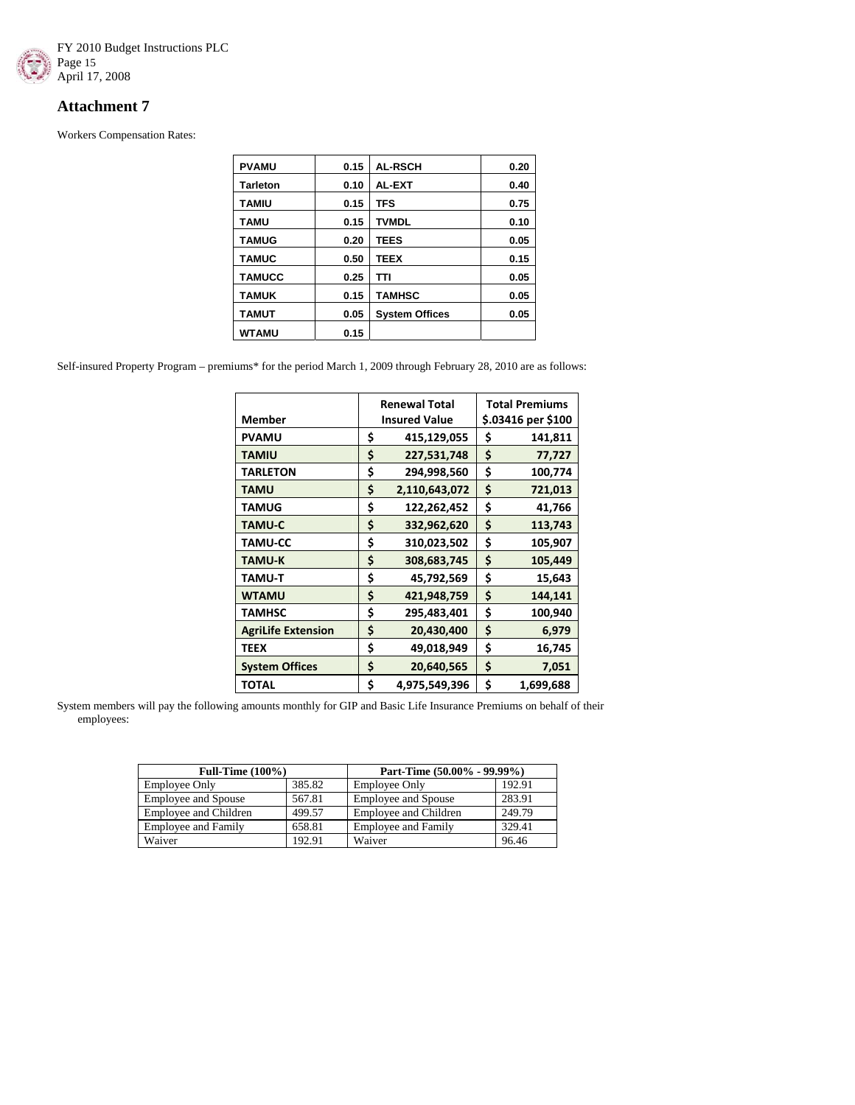

Workers Compensation Rates:

| <b>PVAMU</b>    | 0.15 | <b>AL-RSCH</b>        | 0.20 |
|-----------------|------|-----------------------|------|
|                 |      |                       |      |
| <b>Tarleton</b> | 0.10 | AL-EXT                | 0.40 |
| TAMIU           | 0.15 | TFS                   | 0.75 |
| TAMU            | 0.15 | <b>TVMDL</b>          | 0.10 |
| <b>TAMUG</b>    | 0.20 | TEES                  | 0.05 |
| <b>TAMUC</b>    | 0.50 | TEEX                  | 0.15 |
| <b>TAMUCC</b>   | 0.25 | TΤI                   | 0.05 |
| <b>TAMUK</b>    | 0.15 | <b>TAMHSC</b>         | 0.05 |
| <b>TAMUT</b>    | 0.05 | <b>System Offices</b> | 0.05 |
| <b>WTAMU</b>    | 0.15 |                       |      |

Self-insured Property Program – premiums\* for the period March 1, 2009 through February 28, 2010 are as follows:

|                           |    | <b>Renewal Total</b> |    | <b>Total Premiums</b> |
|---------------------------|----|----------------------|----|-----------------------|
| <b>Member</b>             |    | <b>Insured Value</b> |    | \$.03416 per \$100    |
| <b>PVAMU</b>              | \$ | 415,129,055          | \$ | 141,811               |
| <b>TAMIU</b>              | \$ | 227,531,748          | \$ | 77,727                |
| <b>TARLETON</b>           | \$ | 294,998,560          | \$ | 100,774               |
| <b>TAMU</b>               | \$ | 2,110,643,072        | \$ | 721,013               |
| <b>TAMUG</b>              | \$ | 122,262,452          | \$ | 41,766                |
| <b>TAMU-C</b>             | \$ | 332,962,620          | \$ | 113,743               |
| <b>TAMU-CC</b>            | \$ | 310,023,502          | \$ | 105,907               |
| <b>TAMU-K</b>             | \$ | 308,683,745          | \$ | 105,449               |
| <b>TAMU-T</b>             | \$ | 45,792,569           | \$ | 15,643                |
| <b>WTAMU</b>              | Ś  | 421,948,759          | Ś  | 144,141               |
| <b>TAMHSC</b>             | \$ | 295,483,401          | \$ | 100,940               |
| <b>AgriLife Extension</b> | \$ | 20,430,400           | \$ | 6,979                 |
| <b>TEEX</b>               | \$ | 49,018,949           | \$ | 16,745                |
| <b>System Offices</b>     | \$ | 20,640,565           | \$ | 7,051                 |
| <b>TOTAL</b>              | Ś  | 4,975,549,396        | \$ | 1,699,688             |

System members will pay the following amounts monthly for GIP and Basic Life Insurance Premiums on behalf of their employees:

| <b>Full-Time (100%)</b>    |        | Part-Time (50.00% - 99.99%)  |        |  |
|----------------------------|--------|------------------------------|--------|--|
| Employee Only              | 385.82 | <b>Employee Only</b>         | 192.91 |  |
| <b>Employee and Spouse</b> | 567.81 | <b>Employee and Spouse</b>   | 283.91 |  |
| Employee and Children      | 499.57 | <b>Employee and Children</b> | 249.79 |  |
| <b>Employee and Family</b> | 658.81 | <b>Employee and Family</b>   | 329.41 |  |
| Waiver                     | 192.91 | Waiver                       | 96.46  |  |